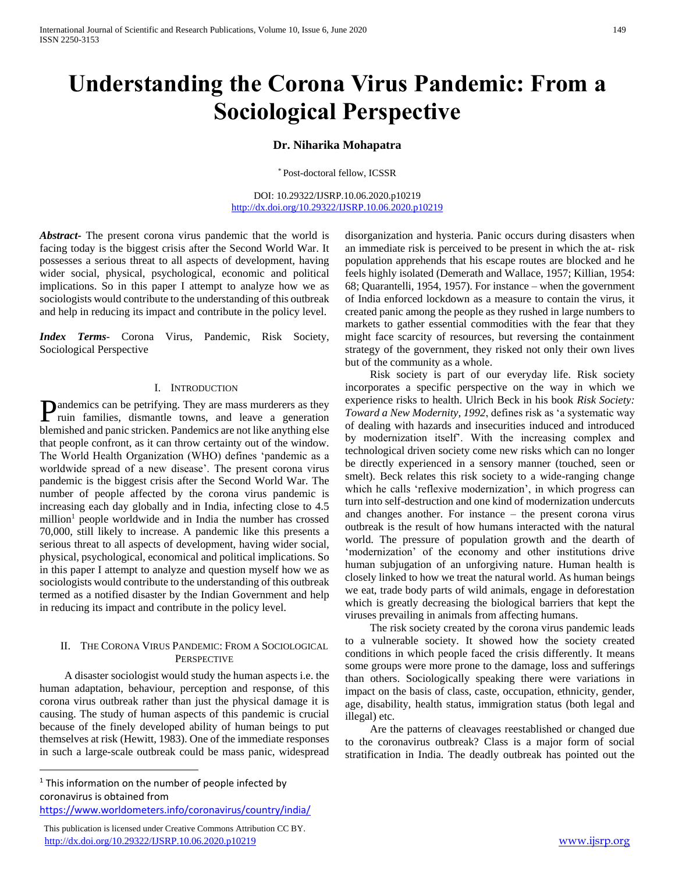# **Understanding the Corona Virus Pandemic: From a Sociological Perspective**

# **Dr. Niharika Mohapatra**

\* Post-doctoral fellow, ICSSR

DOI: 10.29322/IJSRP.10.06.2020.p10219 <http://dx.doi.org/10.29322/IJSRP.10.06.2020.p10219>

*Abstract***-** The present corona virus pandemic that the world is facing today is the biggest crisis after the Second World War. It possesses a serious threat to all aspects of development, having wider social, physical, psychological, economic and political implications. So in this paper I attempt to analyze how we as sociologists would contribute to the understanding of this outbreak and help in reducing its impact and contribute in the policy level.

*Index Terms*- Corona Virus, Pandemic, Risk Society, Sociological Perspective

## I. INTRODUCTION

andemics can be petrifying. They are mass murderers as they **P**andemics can be petrifying. They are mass murderers as they ruin families, dismantle towns, and leave a generation blemished and panic stricken. Pandemics are not like anything else that people confront, as it can throw certainty out of the window. The World Health Organization (WHO) defines 'pandemic as a worldwide spread of a new disease'. The present corona virus pandemic is the biggest crisis after the Second World War. The number of people affected by the corona virus pandemic is increasing each day globally and in India, infecting close to 4.5 million<sup>1</sup> people worldwide and in India the number has crossed 70,000, still likely to increase. A pandemic like this presents a serious threat to all aspects of development, having wider social, physical, psychological, economical and political implications. So in this paper I attempt to analyze and question myself how we as sociologists would contribute to the understanding of this outbreak termed as a notified disaster by the Indian Government and help in reducing its impact and contribute in the policy level.

# II. THE CORONA VIRUS PANDEMIC: FROM A SOCIOLOGICAL **PERSPECTIVE**

 A disaster sociologist would study the human aspects i.e. the human adaptation, behaviour, perception and response, of this corona virus outbreak rather than just the physical damage it is causing. The study of human aspects of this pandemic is crucial because of the finely developed ability of human beings to put themselves at risk (Hewitt, 1983). One of the immediate responses in such a large-scale outbreak could be mass panic, widespread

<sup>1</sup> This information on the number of people infected by coronavirus is obtained from <https://www.worldometers.info/coronavirus/country/india/>

This publication is licensed under Creative Commons Attribution CC BY.

<http://dx.doi.org/10.29322/IJSRP.10.06.2020.p10219> [www.ijsrp.org](http://ijsrp.org/)

 $\overline{a}$ 

disorganization and hysteria. Panic occurs during disasters when an immediate risk is perceived to be present in which the at- risk population apprehends that his escape routes are blocked and he feels highly isolated (Demerath and Wallace, 1957; Killian, 1954: 68; Quarantelli, 1954, 1957). For instance – when the government of India enforced lockdown as a measure to contain the virus, it created panic among the people as they rushed in large numbers to markets to gather essential commodities with the fear that they might face scarcity of resources, but reversing the containment strategy of the government, they risked not only their own lives but of the community as a whole.

 Risk society is part of our everyday life. Risk society incorporates a specific perspective on the way in which we experience risks to health. Ulrich Beck in his book *Risk Society: Toward a New Modernity, 1992*, defines risk as 'a systematic way of dealing with hazards and insecurities induced and introduced by modernization itself'. With the increasing complex and technological driven society come new risks which can no longer be directly experienced in a sensory manner (touched, seen or smelt). Beck relates this risk society to a wide-ranging change which he calls 'reflexive modernization', in which progress can turn into self-destruction and one kind of modernization undercuts and changes another. For instance – the present corona virus outbreak is the result of how humans interacted with the natural world. The pressure of population growth and the dearth of 'modernization' of the economy and other institutions drive human subjugation of an unforgiving nature. Human health is closely linked to how we treat the natural world. As human beings we eat, trade body parts of wild animals, engage in deforestation which is greatly decreasing the biological barriers that kept the viruses prevailing in animals from affecting humans.

 The risk society created by the corona virus pandemic leads to a vulnerable society. It showed how the society created conditions in which people faced the crisis differently. It means some groups were more prone to the damage, loss and sufferings than others. Sociologically speaking there were variations in impact on the basis of class, caste, occupation, ethnicity, gender, age, disability, health status, immigration status (both legal and illegal) etc.

 Are the patterns of cleavages reestablished or changed due to the coronavirus outbreak? Class is a major form of social stratification in India. The deadly outbreak has pointed out the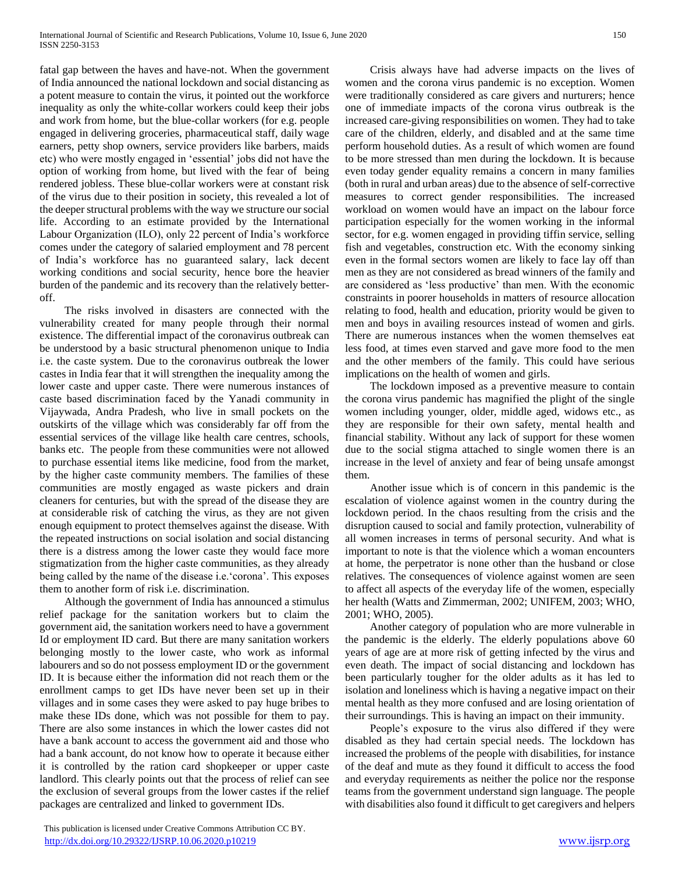fatal gap between the haves and have-not. When the government of India announced the national lockdown and social distancing as a potent measure to contain the virus, it pointed out the workforce inequality as only the white-collar workers could keep their jobs and work from home, but the blue-collar workers (for e.g. people engaged in delivering groceries, pharmaceutical staff, daily wage earners, petty shop owners, service providers like barbers, maids etc) who were mostly engaged in 'essential' jobs did not have the option of working from home, but lived with the fear of being rendered jobless. These blue-collar workers were at constant risk of the virus due to their position in society, this revealed a lot of the deeper structural problems with the way we structure our social life. According to an estimate provided by the International Labour Organization (ILO), only 22 percent of India's workforce comes under the category of salaried employment and 78 percent of India's workforce has no guaranteed salary, lack decent working conditions and social security, hence bore the heavier burden of the pandemic and its recovery than the relatively betteroff.

 The risks involved in disasters are connected with the vulnerability created for many people through their normal existence. The differential impact of the coronavirus outbreak can be understood by a basic structural phenomenon unique to India i.e. the caste system. Due to the coronavirus outbreak the lower castes in India fear that it will strengthen the inequality among the lower caste and upper caste. There were numerous instances of caste based discrimination faced by the Yanadi community in Vijaywada, Andra Pradesh, who live in small pockets on the outskirts of the village which was considerably far off from the essential services of the village like health care centres, schools, banks etc. The people from these communities were not allowed to purchase essential items like medicine, food from the market, by the higher caste community members. The families of these communities are mostly engaged as waste pickers and drain cleaners for centuries, but with the spread of the disease they are at considerable risk of catching the virus, as they are not given enough equipment to protect themselves against the disease. With the repeated instructions on social isolation and social distancing there is a distress among the lower caste they would face more stigmatization from the higher caste communities, as they already being called by the name of the disease i.e.'corona'. This exposes them to another form of risk i.e. discrimination.

 Although the government of India has announced a stimulus relief package for the sanitation workers but to claim the government aid, the sanitation workers need to have a government Id or employment ID card. But there are many sanitation workers belonging mostly to the lower caste, who work as informal labourers and so do not possess employment ID or the government ID. It is because either the information did not reach them or the enrollment camps to get IDs have never been set up in their villages and in some cases they were asked to pay huge bribes to make these IDs done, which was not possible for them to pay. There are also some instances in which the lower castes did not have a bank account to access the government aid and those who had a bank account, do not know how to operate it because either it is controlled by the ration card shopkeeper or upper caste landlord. This clearly points out that the process of relief can see the exclusion of several groups from the lower castes if the relief packages are centralized and linked to government IDs.

 Crisis always have had adverse impacts on the lives of women and the corona virus pandemic is no exception. Women were traditionally considered as care givers and nurturers; hence one of immediate impacts of the corona virus outbreak is the increased care-giving responsibilities on women. They had to take care of the children, elderly, and disabled and at the same time perform household duties. As a result of which women are found to be more stressed than men during the lockdown. It is because even today gender equality remains a concern in many families (both in rural and urban areas) due to the absence of self-corrective measures to correct gender responsibilities. The increased workload on women would have an impact on the labour force participation especially for the women working in the informal sector, for e.g. women engaged in providing tiffin service, selling fish and vegetables, construction etc. With the economy sinking even in the formal sectors women are likely to face lay off than men as they are not considered as bread winners of the family and are considered as 'less productive' than men. With the economic constraints in poorer households in matters of resource allocation relating to food, health and education, priority would be given to men and boys in availing resources instead of women and girls. There are numerous instances when the women themselves eat less food, at times even starved and gave more food to the men and the other members of the family. This could have serious implications on the health of women and girls.

 The lockdown imposed as a preventive measure to contain the corona virus pandemic has magnified the plight of the single women including younger, older, middle aged, widows etc., as they are responsible for their own safety, mental health and financial stability. Without any lack of support for these women due to the social stigma attached to single women there is an increase in the level of anxiety and fear of being unsafe amongst them.

 Another issue which is of concern in this pandemic is the escalation of violence against women in the country during the lockdown period. In the chaos resulting from the crisis and the disruption caused to social and family protection, vulnerability of all women increases in terms of personal security. And what is important to note is that the violence which a woman encounters at home, the perpetrator is none other than the husband or close relatives. The consequences of violence against women are seen to affect all aspects of the everyday life of the women, especially her health (Watts and Zimmerman, 2002; UNIFEM, 2003; WHO, 2001; WHO, 2005).

 Another category of population who are more vulnerable in the pandemic is the elderly. The elderly populations above 60 years of age are at more risk of getting infected by the virus and even death. The impact of social distancing and lockdown has been particularly tougher for the older adults as it has led to isolation and loneliness which is having a negative impact on their mental health as they more confused and are losing orientation of their surroundings. This is having an impact on their immunity.

 People's exposure to the virus also differed if they were disabled as they had certain special needs. The lockdown has increased the problems of the people with disabilities, for instance of the deaf and mute as they found it difficult to access the food and everyday requirements as neither the police nor the response teams from the government understand sign language. The people with disabilities also found it difficult to get caregivers and helpers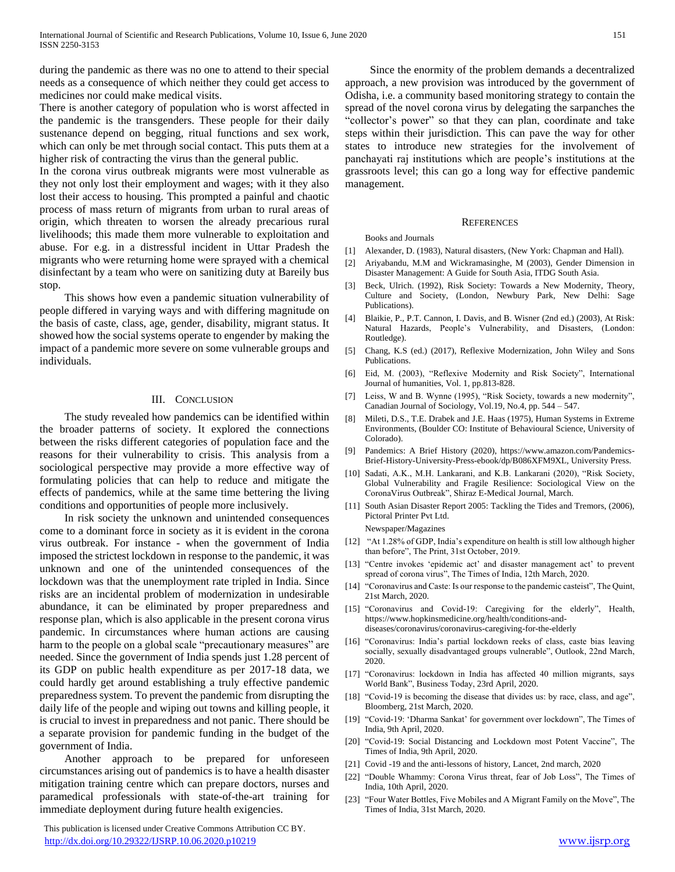during the pandemic as there was no one to attend to their special needs as a consequence of which neither they could get access to medicines nor could make medical visits.

There is another category of population who is worst affected in the pandemic is the transgenders. These people for their daily sustenance depend on begging, ritual functions and sex work, which can only be met through social contact. This puts them at a higher risk of contracting the virus than the general public.

In the corona virus outbreak migrants were most vulnerable as they not only lost their employment and wages; with it they also lost their access to housing. This prompted a painful and chaotic process of mass return of migrants from urban to rural areas of origin, which threaten to worsen the already precarious rural livelihoods; this made them more vulnerable to exploitation and abuse. For e.g. in a distressful incident in Uttar Pradesh the migrants who were returning home were sprayed with a chemical disinfectant by a team who were on sanitizing duty at Bareily bus stop.

 This shows how even a pandemic situation vulnerability of people differed in varying ways and with differing magnitude on the basis of caste, class, age, gender, disability, migrant status. It showed how the social systems operate to engender by making the impact of a pandemic more severe on some vulnerable groups and individuals.

## III. CONCLUSION

 The study revealed how pandemics can be identified within the broader patterns of society. It explored the connections between the risks different categories of population face and the reasons for their vulnerability to crisis. This analysis from a sociological perspective may provide a more effective way of formulating policies that can help to reduce and mitigate the effects of pandemics, while at the same time bettering the living conditions and opportunities of people more inclusively.

 In risk society the unknown and unintended consequences come to a dominant force in society as it is evident in the corona virus outbreak. For instance - when the government of India imposed the strictest lockdown in response to the pandemic, it was unknown and one of the unintended consequences of the lockdown was that the unemployment rate tripled in India. Since risks are an incidental problem of modernization in undesirable abundance, it can be eliminated by proper preparedness and response plan, which is also applicable in the present corona virus pandemic. In circumstances where human actions are causing harm to the people on a global scale "precautionary measures" are needed. Since the government of India spends just 1.28 percent of its GDP on public health expenditure as per 2017-18 data, we could hardly get around establishing a truly effective pandemic preparedness system. To prevent the pandemic from disrupting the daily life of the people and wiping out towns and killing people, it is crucial to invest in preparedness and not panic. There should be a separate provision for pandemic funding in the budget of the government of India.

 Another approach to be prepared for unforeseen circumstances arising out of pandemics is to have a health disaster mitigation training centre which can prepare doctors, nurses and paramedical professionals with state-of-the-art training for immediate deployment during future health exigencies.

 This publication is licensed under Creative Commons Attribution CC BY. <http://dx.doi.org/10.29322/IJSRP.10.06.2020.p10219> [www.ijsrp.org](http://ijsrp.org/)

 Since the enormity of the problem demands a decentralized approach, a new provision was introduced by the government of Odisha, i.e. a community based monitoring strategy to contain the spread of the novel corona virus by delegating the sarpanches the "collector's power" so that they can plan, coordinate and take steps within their jurisdiction. This can pave the way for other states to introduce new strategies for the involvement of panchayati raj institutions which are people's institutions at the grassroots level; this can go a long way for effective pandemic management.

## **REFERENCES** Books and Journals

[1] Alexander, D. (1983), Natural disasters, (New York: Chapman and Hall).

- [2] Ariyabandu, M.M and Wickramasinghe, M (2003), Gender Dimension in Disaster Management: A Guide for South Asia, ITDG South Asia.
- [3] Beck, Ulrich. (1992), Risk Society: Towards a New Modernity, Theory, Culture and Society, (London, Newbury Park, New Delhi: Sage Publications).
- [4] Blaikie, P., P.T. Cannon, I. Davis, and B. Wisner (2nd ed.) (2003), At Risk: Natural Hazards, People's Vulnerability, and Disasters, (London: Routledge).
- [5] Chang, K.S (ed.) (2017), Reflexive Modernization, John Wiley and Sons Publications.
- [6] Eid, M. (2003), "Reflexive Modernity and Risk Society", International Journal of humanities, Vol. 1, pp.813-828.
- [7] Leiss, W and B. Wynne (1995), "Risk Society, towards a new modernity", Canadian Journal of Sociology, Vol.19, No.4, pp. 544 – 547.
- [8] Mileti, D.S., T.E. Drabek and J.E. Haas (1975), Human Systems in Extreme Environments, (Boulder CO: Institute of Behavioural Science, University of Colorado).
- [9] Pandemics: A Brief History (2020), https://www.amazon.com/Pandemics-Brief-History-University-Press-ebook/dp/B086XFM9XL, University Press.
- [10] Sadati, A.K., M.H. Lankarani, and K.B. Lankarani (2020), "Risk Society, Global Vulnerability and Fragile Resilience: Sociological View on the CoronaVirus Outbreak", Shiraz E-Medical Journal, March.
- [11] South Asian Disaster Report 2005: Tackling the Tides and Tremors, (2006), Pictoral Printer Pvt Ltd.

Newspaper/Magazines

- [12] "At 1.28% of GDP, India's expenditure on health is still low although higher than before", The Print, 31st October, 2019.
- [13] "Centre invokes 'epidemic act' and disaster management act' to prevent spread of corona virus", The Times of India, 12th March, 2020.
- [14] "Coronavirus and Caste: Is our response to the pandemic casteist", The Quint, 21st March, 2020.
- [15] "Coronavirus and Covid-19: Caregiving for the elderly", Health, https://www.hopkinsmedicine.org/health/conditions-anddiseases/coronavirus/coronavirus-caregiving-for-the-elderly
- [16] "Coronavirus: India's partial lockdown reeks of class, caste bias leaving socially, sexually disadvantaged groups vulnerable", Outlook, 22nd March, 2020.
- [17] "Coronavirus: lockdown in India has affected 40 million migrants, says World Bank", Business Today, 23rd April, 2020.
- [18] "Covid-19 is becoming the disease that divides us: by race, class, and age", Bloomberg, 21st March, 2020.
- [19] "Covid-19: 'Dharma Sankat' for government over lockdown", The Times of India, 9th April, 2020.
- [20] "Covid-19: Social Distancing and Lockdown most Potent Vaccine", The Times of India, 9th April, 2020.
- [21] Covid -19 and the anti-lessons of history, Lancet, 2nd march, 2020
- [22] "Double Whammy: Corona Virus threat, fear of Job Loss", The Times of India, 10th April, 2020.
- [23] "Four Water Bottles, Five Mobiles and A Migrant Family on the Move", The Times of India, 31st March, 2020.